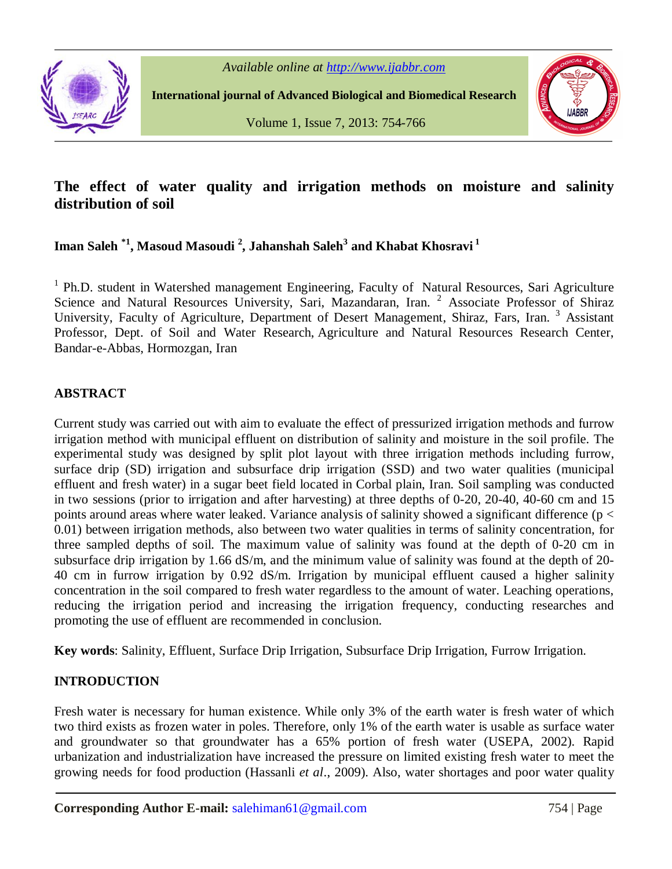

**International journal of Advanced Biological and Biomedical Research**



Volume 1, Issue 7, 2013: 754-766

# **The effect of water quality and irrigation methods on moisture and salinity distribution of soil**

# **Iman Saleh \*1 , Masoud Masoudi <sup>2</sup> , Jahanshah Saleh<sup>3</sup> and Khabat Khosravi <sup>1</sup>**

<sup>1</sup> Ph.D. student in Watershed management Engineering, Faculty of Natural Resources, Sari Agriculture Science and Natural Resources University, Sari, Mazandaran, Iran. <sup>2</sup> Associate Professor of Shiraz University, Faculty of Agriculture, Department of Desert Management, Shiraz, Fars, Iran.<sup>3</sup> Assistant Professor, Dept. of Soil and Water Research, Agriculture and Natural Resources Research Center, Bandar-e-Abbas, Hormozgan, Iran

## **ABSTRACT**

Current study was carried out with aim to evaluate the effect of pressurized irrigation methods and furrow irrigation method with municipal effluent on distribution of salinity and moisture in the soil profile. The experimental study was designed by split plot layout with three irrigation methods including furrow, surface drip (SD) irrigation and subsurface drip irrigation (SSD) and two water qualities (municipal effluent and fresh water) in a sugar beet field located in Corbal plain, Iran. Soil sampling was conducted in two sessions (prior to irrigation and after harvesting) at three depths of 0-20, 20-40, 40-60 cm and 15 points around areas where water leaked. Variance analysis of salinity showed a significant difference ( $p <$ 0.01) between irrigation methods, also between two water qualities in terms of salinity concentration, for three sampled depths of soil. The maximum value of salinity was found at the depth of 0-20 cm in subsurface drip irrigation by 1.66 dS/m, and the minimum value of salinity was found at the depth of 20- 40 cm in furrow irrigation by 0.92 dS/m. Irrigation by municipal effluent caused a higher salinity concentration in the soil compared to fresh water regardless to the amount of water. Leaching operations, reducing the irrigation period and increasing the irrigation frequency, conducting researches and promoting the use of effluent are recommended in conclusion.

**Key words**: Salinity, Effluent, Surface Drip Irrigation, Subsurface Drip Irrigation, Furrow Irrigation.

# **INTRODUCTION**

Fresh water is necessary for human existence. While only 3% of the earth water is fresh water of which two third exists as frozen water in poles. Therefore, only 1% of the earth water is usable as surface water and groundwater so that groundwater has a 65% portion of fresh water (USEPA, 2002). Rapid urbanization and industrialization have increased the pressure on limited existing fresh water to meet the growing needs for food production (Hassanli *et al*., 2009). Also, water shortages and poor water quality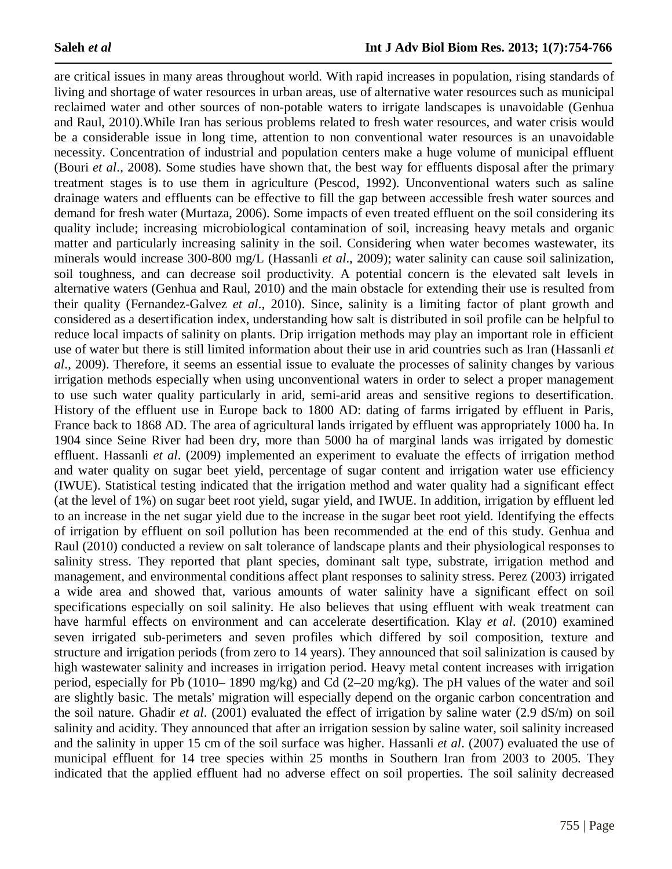are critical issues in many areas throughout world. With rapid increases in population, rising standards of living and shortage of water resources in urban areas, use of alternative water resources such as municipal reclaimed water and other sources of non-potable waters to irrigate landscapes is unavoidable (Genhua and Raul, 2010).While Iran has serious problems related to fresh water resources, and water crisis would be a considerable issue in long time, attention to non conventional water resources is an unavoidable necessity. Concentration of industrial and population centers make a huge volume of municipal effluent (Bouri *et al*., 2008). Some studies have shown that, the best way for effluents disposal after the primary treatment stages is to use them in agriculture (Pescod, 1992). Unconventional waters such as saline drainage waters and effluents can be effective to fill the gap between accessible fresh water sources and demand for fresh water (Murtaza, 2006). Some impacts of even treated effluent on the soil considering its quality include; increasing microbiological contamination of soil, increasing heavy metals and organic matter and particularly increasing salinity in the soil. Considering when water becomes wastewater, its minerals would increase 300-800 mg/L (Hassanli *et al*., 2009); water salinity can cause soil salinization, soil toughness, and can decrease soil productivity. A potential concern is the elevated salt levels in alternative waters (Genhua and Raul, 2010) and the main obstacle for extending their use is resulted from their quality (Fernandez-Galvez *et al*., 2010). Since, salinity is a limiting factor of plant growth and considered as a desertification index, understanding how salt is distributed in soil profile can be helpful to reduce local impacts of salinity on plants. Drip irrigation methods may play an important role in efficient use of water but there is still limited information about their use in arid countries such as Iran (Hassanli *et al*., 2009). Therefore, it seems an essential issue to evaluate the processes of salinity changes by various irrigation methods especially when using unconventional waters in order to select a proper management to use such water quality particularly in arid, semi-arid areas and sensitive regions to desertification. History of the effluent use in Europe back to 1800 AD: dating of farms irrigated by effluent in Paris, France back to 1868 AD. The area of agricultural lands irrigated by effluent was appropriately 1000 ha. In 1904 since Seine River had been dry, more than 5000 ha of marginal lands was irrigated by domestic effluent. Hassanli *et al*. (2009) implemented an experiment to evaluate the effects of irrigation method and water quality on sugar beet yield, percentage of sugar content and irrigation water use efficiency (IWUE). Statistical testing indicated that the irrigation method and water quality had a significant effect (at the level of 1%) on sugar beet root yield, sugar yield, and IWUE. In addition, irrigation by effluent led to an increase in the net sugar yield due to the increase in the sugar beet root yield. Identifying the effects of irrigation by effluent on soil pollution has been recommended at the end of this study. Genhua and Raul (2010) conducted a review on salt tolerance of landscape plants and their physiological responses to salinity stress. They reported that plant species, dominant salt type, substrate, irrigation method and management, and environmental conditions affect plant responses to salinity stress. Perez (2003) irrigated a wide area and showed that, various amounts of water salinity have a significant effect on soil specifications especially on soil salinity. He also believes that using effluent with weak treatment can have harmful effects on environment and can accelerate desertification. Klay *et al*. (2010) examined seven irrigated sub-perimeters and seven profiles which differed by soil composition, texture and structure and irrigation periods (from zero to 14 years). They announced that soil salinization is caused by high wastewater salinity and increases in irrigation period. Heavy metal content increases with irrigation period, especially for Pb (1010– 1890 mg/kg) and Cd (2–20 mg/kg). The pH values of the water and soil are slightly basic. The metals' migration will especially depend on the organic carbon concentration and the soil nature. Ghadir *et al*. (2001) evaluated the effect of irrigation by saline water (2.9 dS/m) on soil salinity and acidity. They announced that after an irrigation session by saline water, soil salinity increased and the salinity in upper 15 cm of the soil surface was higher. Hassanli *et al*. (2007) evaluated the use of municipal effluent for 14 tree species within 25 months in Southern Iran from 2003 to 2005. They indicated that the applied effluent had no adverse effect on soil properties. The soil salinity decreased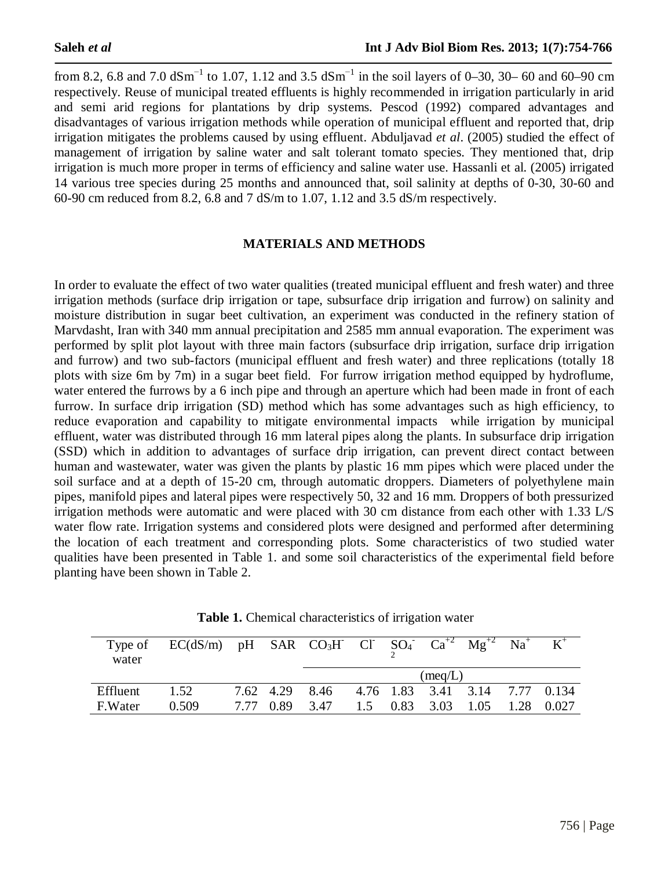from 8.2, 6.8 and 7.0  $dSm^{-1}$  to 1.07, 1.12 and 3.5  $dSm^{-1}$  in the soil layers of 0–30, 30– 60 and 60–90 cm respectively. Reuse of municipal treated effluents is highly recommended in irrigation particularly in arid and semi arid regions for plantations by drip systems. Pescod (1992) compared advantages and disadvantages of various irrigation methods while operation of municipal effluent and reported that, drip irrigation mitigates the problems caused by using effluent. Abduljavad *et al*. (2005) studied the effect of management of irrigation by saline water and salt tolerant tomato species. They mentioned that, drip irrigation is much more proper in terms of efficiency and saline water use. Hassanli et al. (2005) irrigated 14 various tree species during 25 months and announced that, soil salinity at depths of 0-30, 30-60 and 60-90 cm reduced from 8.2, 6.8 and 7 dS/m to 1.07, 1.12 and 3.5 dS/m respectively.

#### **MATERIALS AND METHODS**

In order to evaluate the effect of two water qualities (treated municipal effluent and fresh water) and three irrigation methods (surface drip irrigation or tape, subsurface drip irrigation and furrow) on salinity and moisture distribution in sugar beet cultivation, an experiment was conducted in the refinery station of Marvdasht, Iran with 340 mm annual precipitation and 2585 mm annual evaporation. The experiment was performed by split plot layout with three main factors (subsurface drip irrigation, surface drip irrigation and furrow) and two sub-factors (municipal effluent and fresh water) and three replications (totally 18 plots with size 6m by 7m) in a sugar beet field. For furrow irrigation method equipped by hydroflume, water entered the furrows by a 6 inch pipe and through an aperture which had been made in front of each furrow. In surface drip irrigation (SD) method which has some advantages such as high efficiency, to reduce evaporation and capability to mitigate environmental impacts while irrigation by municipal effluent, water was distributed through 16 mm lateral pipes along the plants. In subsurface drip irrigation (SSD) which in addition to advantages of surface drip irrigation, can prevent direct contact between human and wastewater, water was given the plants by plastic 16 mm pipes which were placed under the soil surface and at a depth of 15-20 cm, through automatic droppers. Diameters of polyethylene main pipes, manifold pipes and lateral pipes were respectively 50, 32 and 16 mm. Droppers of both pressurized irrigation methods were automatic and were placed with 30 cm distance from each other with 1.33 L/S water flow rate. Irrigation systems and considered plots were designed and performed after determining the location of each treatment and corresponding plots. Some characteristics of two studied water qualities have been presented in Table 1. and some soil characteristics of the experimental field before planting have been shown in Table 2.

| Type of<br>water | $EC(dS/m)$ pH SAR $CO3H$ Cl SO <sub>4</sub> $Ca+2$ Mg <sup>+2</sup> Na <sup>+</sup> |           |                                               |  |                      |      | $K^+$ |
|------------------|-------------------------------------------------------------------------------------|-----------|-----------------------------------------------|--|----------------------|------|-------|
|                  |                                                                                     |           |                                               |  | $(\text{meq}/L)$     |      |       |
| Effluent         | 1.52                                                                                |           | 7.62 4.29 8.46 4.76 1.83 3.41 3.14 7.77 0.134 |  |                      |      |       |
| F.Water          | 0.509                                                                               | 7.77 0.89 | 3.47                                          |  | $1.5$ 0.83 3.03 1.05 | 1.28 | 0.027 |

**Table 1.** Chemical characteristics of irrigation water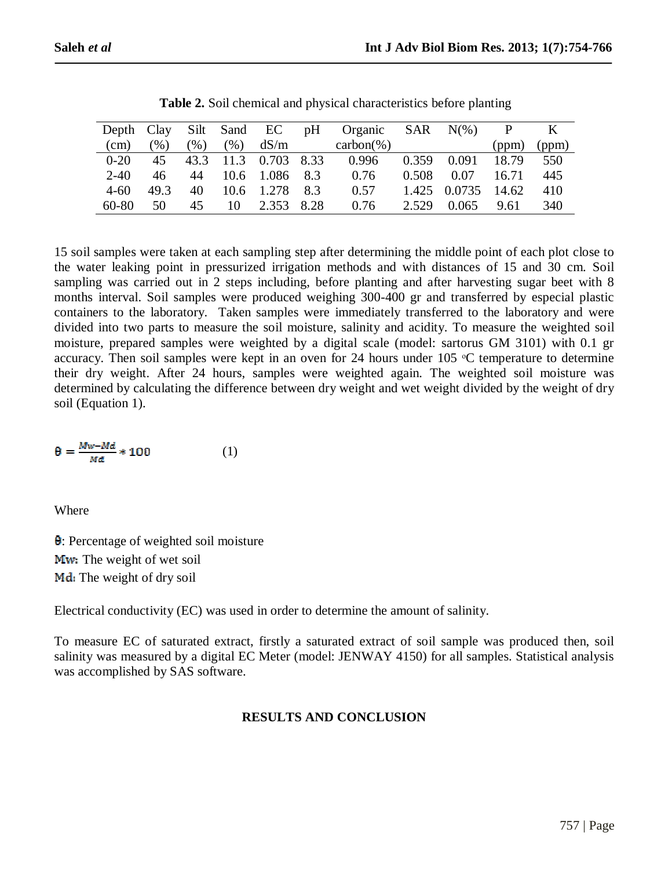| Depth Clay |                   |      | Silt Sand EC |                 | pH | Organic SAR $N(\%)$ |       |              | P     | K     |
|------------|-------------------|------|--------------|-----------------|----|---------------------|-------|--------------|-------|-------|
| $\rm (cm)$ | $\mathcal{O}_0$ ) | (%)  | (% )         | dS/m            |    | $carbon(\%)$        |       |              | (ppm) | (ppm) |
| $0-20$     | 45                | 43.3 |              | 11.3 0.703 8.33 |    | 0.996               | 0.359 | 0.091        | 18.79 | 550   |
| $2 - 40$   | 46                | 44   | 10.6         | 1.086 8.3       |    | 0.76                | 0.508 | 0.07         | 16.71 | 445   |
| $4 - 60$   | 49.3              | 40   | 10.6         | 1.278           | 83 | 0.57                |       | 1.425 0.0735 | 14.62 | 410   |
| 60-80      | 50                | 45   | 10           | 2.353 8.28      |    | 0.76                | 2.529 | 0.065        | 9.61  | 340   |

**Table 2.** Soil chemical and physical characteristics before planting

15 soil samples were taken at each sampling step after determining the middle point of each plot close to the water leaking point in pressurized irrigation methods and with distances of 15 and 30 cm. Soil sampling was carried out in 2 steps including, before planting and after harvesting sugar beet with 8 months interval. Soil samples were produced weighing 300-400 gr and transferred by especial plastic containers to the laboratory. Taken samples were immediately transferred to the laboratory and were divided into two parts to measure the soil moisture, salinity and acidity. To measure the weighted soil moisture, prepared samples were weighted by a digital scale (model: sartorus GM 3101) with 0.1 gr accuracy. Then soil samples were kept in an oven for 24 hours under 105 °C temperature to determine their dry weight. After 24 hours, samples were weighted again. The weighted soil moisture was determined by calculating the difference between dry weight and wet weight divided by the weight of dry soil (Equation 1).

$$
\theta = \frac{Mw - Md}{Md} \cdot 100 \tag{1}
$$

Where

: Percentage of weighted soil moisture Mw: The weight of wet soil Md: The weight of dry soil

Electrical conductivity (EC) was used in order to determine the amount of salinity.

To measure EC of saturated extract, firstly a saturated extract of soil sample was produced then, soil salinity was measured by a digital EC Meter (model: JENWAY 4150) for all samples. Statistical analysis was accomplished by SAS software.

# **RESULTS AND CONCLUSION**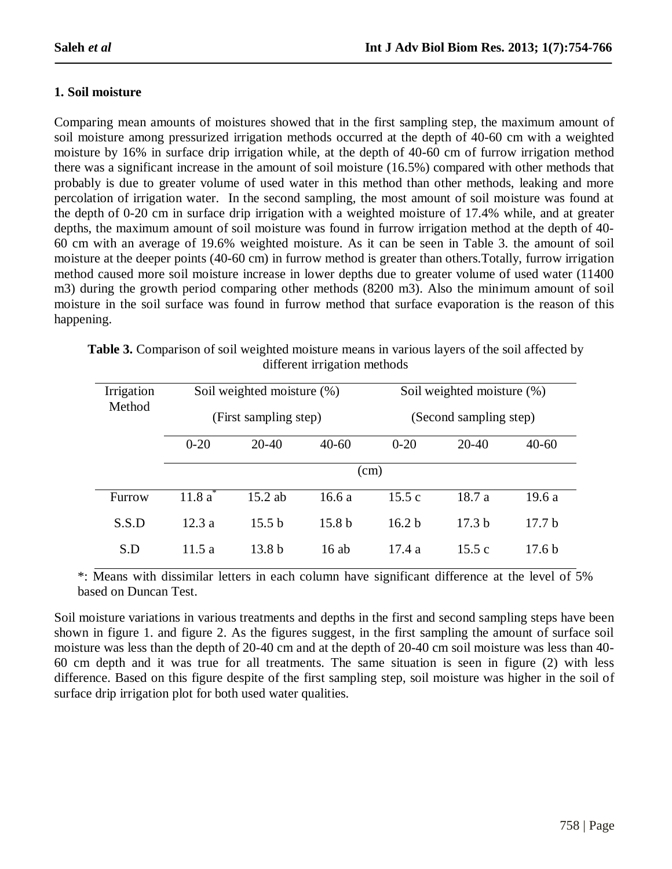## **1. Soil moisture**

Comparing mean amounts of moistures showed that in the first sampling step, the maximum amount of soil moisture among pressurized irrigation methods occurred at the depth of 40-60 cm with a weighted moisture by 16% in surface drip irrigation while, at the depth of 40-60 cm of furrow irrigation method there was a significant increase in the amount of soil moisture (16.5%) compared with other methods that probably is due to greater volume of used water in this method than other methods, leaking and more percolation of irrigation water. In the second sampling, the most amount of soil moisture was found at the depth of 0-20 cm in surface drip irrigation with a weighted moisture of 17.4% while, and at greater depths, the maximum amount of soil moisture was found in furrow irrigation method at the depth of 40- 60 cm with an average of 19.6% weighted moisture. As it can be seen in Table 3. the amount of soil moisture at the deeper points (40-60 cm) in furrow method is greater than others.Totally, furrow irrigation method caused more soil moisture increase in lower depths due to greater volume of used water (11400 m3) during the growth period comparing other methods (8200 m3). Also the minimum amount of soil moisture in the soil surface was found in furrow method that surface evaporation is the reason of this happening.

| Irrigation |          | Soil weighted moisture (%) |                   | Soil weighted moisture (%)<br>(Second sampling step) |                   |                   |  |  |  |
|------------|----------|----------------------------|-------------------|------------------------------------------------------|-------------------|-------------------|--|--|--|
| Method     |          | (First sampling step)      |                   |                                                      |                   |                   |  |  |  |
|            | $0 - 20$ | $20 - 40$                  | $40 - 60$         | $0 - 20$                                             | $20 - 40$         | $40 - 60$         |  |  |  |
|            | (cm)     |                            |                   |                                                      |                   |                   |  |  |  |
| Furrow     | 11.8a    | $15.2$ ab                  | 16.6 a            | 15.5c                                                | 18.7a             | 19.6a             |  |  |  |
| S.S.D      | 12.3a    | 15.5 h                     | 15.8 <sub>b</sub> | 16.2 <sub>b</sub>                                    | 17.3 <sub>b</sub> | 17.7 h            |  |  |  |
| S.D        | 11.5 a   | 13.8 <sub>b</sub>          | $16$ ab           | 17.4a                                                | 15.5c             | 17.6 <sub>b</sub> |  |  |  |

**Table 3.** Comparison of soil weighted moisture means in various layers of the soil affected by different irrigation methods

\*: Means with dissimilar letters in each column have significant difference at the level of 5% based on Duncan Test.

Soil moisture variations in various treatments and depths in the first and second sampling steps have been shown in figure 1. and figure 2. As the figures suggest, in the first sampling the amount of surface soil moisture was less than the depth of 20-40 cm and at the depth of 20-40 cm soil moisture was less than 40- 60 cm depth and it was true for all treatments. The same situation is seen in figure (2) with less difference. Based on this figure despite of the first sampling step, soil moisture was higher in the soil of surface drip irrigation plot for both used water qualities.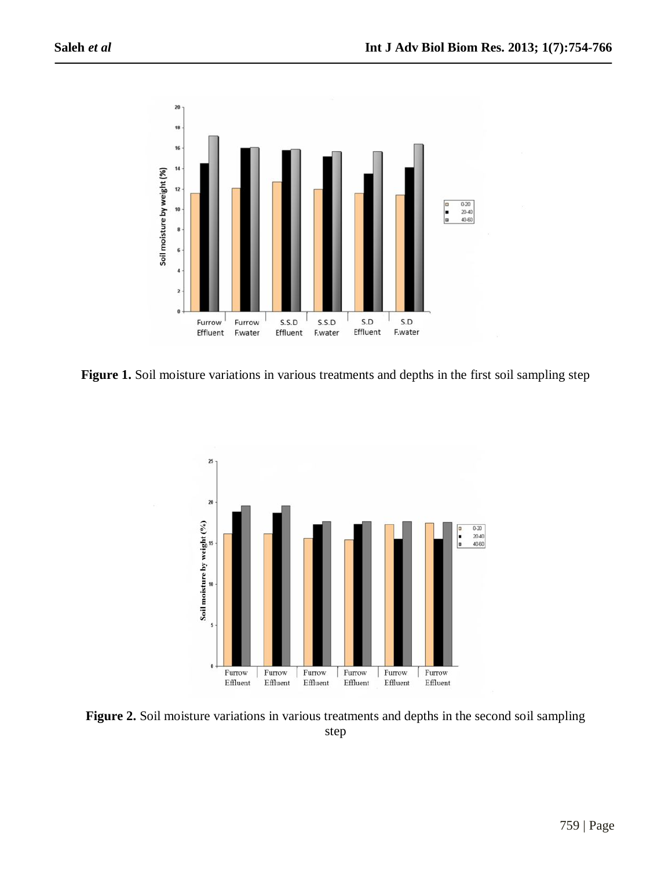

Figure 1. Soil moisture variations in various treatments and depths in the first soil sampling step



**Figure 2.** Soil moisture variations in various treatments and depths in the second soil sampling step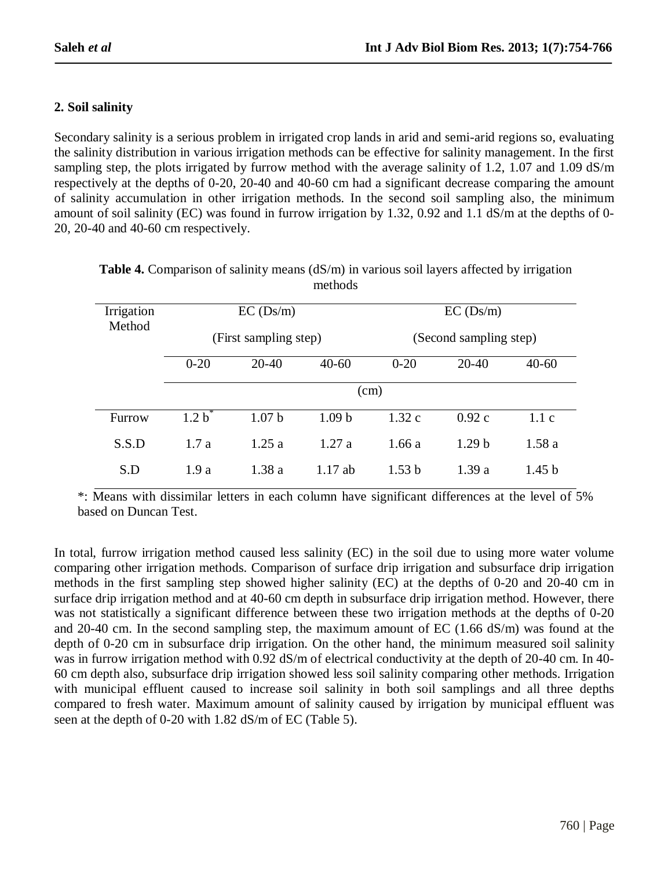## **2. Soil salinity**

Secondary salinity is a serious problem in irrigated crop lands in arid and semi-arid regions so, evaluating the salinity distribution in various irrigation methods can be effective for salinity management. In the first sampling step, the plots irrigated by furrow method with the average salinity of 1.2, 1.07 and 1.09 dS/m respectively at the depths of 0-20, 20-40 and 40-60 cm had a significant decrease comparing the amount of salinity accumulation in other irrigation methods. In the second soil sampling also, the minimum amount of soil salinity (EC) was found in furrow irrigation by 1.32, 0.92 and 1.1 dS/m at the depths of 0- 20, 20-40 and 40-60 cm respectively.

| Irrigation<br>Method |           | EC(Ds/m)              |                   | EC(Ds/m)<br>(Second sampling step) |                   |                   |  |  |  |
|----------------------|-----------|-----------------------|-------------------|------------------------------------|-------------------|-------------------|--|--|--|
|                      |           | (First sampling step) |                   |                                    |                   |                   |  |  |  |
|                      | $0 - 20$  | $20-40$               | $40 - 60$         | $0 - 20$                           | $20-40$           | $40 - 60$         |  |  |  |
|                      | (cm)      |                       |                   |                                    |                   |                   |  |  |  |
| Furrow               | $1.2 b^*$ | 1.07 <sub>b</sub>     | 1.09 <sub>b</sub> | 1.32c                              | 0.92c             | 1.1c              |  |  |  |
| S.S.D                | 1.7a      | 1.25a                 | 1.27a             | 1.66a                              | 1.29 <sub>b</sub> | 1.58a             |  |  |  |
| S.D                  | 1.9a      | 1.38a                 | $1.17$ ab         | 1.53 <sub>b</sub>                  | 1.39a             | 1.45 <sub>b</sub> |  |  |  |

| <b>Table 4.</b> Comparison of salinity means $(dS/m)$ in various soil layers affected by irrigation |  |         |  |  |  |  |
|-----------------------------------------------------------------------------------------------------|--|---------|--|--|--|--|
|                                                                                                     |  | methods |  |  |  |  |

\*: Means with dissimilar letters in each column have significant differences at the level of 5% based on Duncan Test.

In total, furrow irrigation method caused less salinity (EC) in the soil due to using more water volume comparing other irrigation methods. Comparison of surface drip irrigation and subsurface drip irrigation methods in the first sampling step showed higher salinity (EC) at the depths of 0-20 and 20-40 cm in surface drip irrigation method and at 40-60 cm depth in subsurface drip irrigation method. However, there was not statistically a significant difference between these two irrigation methods at the depths of 0-20 and 20-40 cm. In the second sampling step, the maximum amount of EC (1.66 dS/m) was found at the depth of 0-20 cm in subsurface drip irrigation. On the other hand, the minimum measured soil salinity was in furrow irrigation method with 0.92 dS/m of electrical conductivity at the depth of 20-40 cm. In 40-60 cm depth also, subsurface drip irrigation showed less soil salinity comparing other methods. Irrigation with municipal effluent caused to increase soil salinity in both soil samplings and all three depths compared to fresh water. Maximum amount of salinity caused by irrigation by municipal effluent was seen at the depth of 0-20 with 1.82 dS/m of EC (Table 5).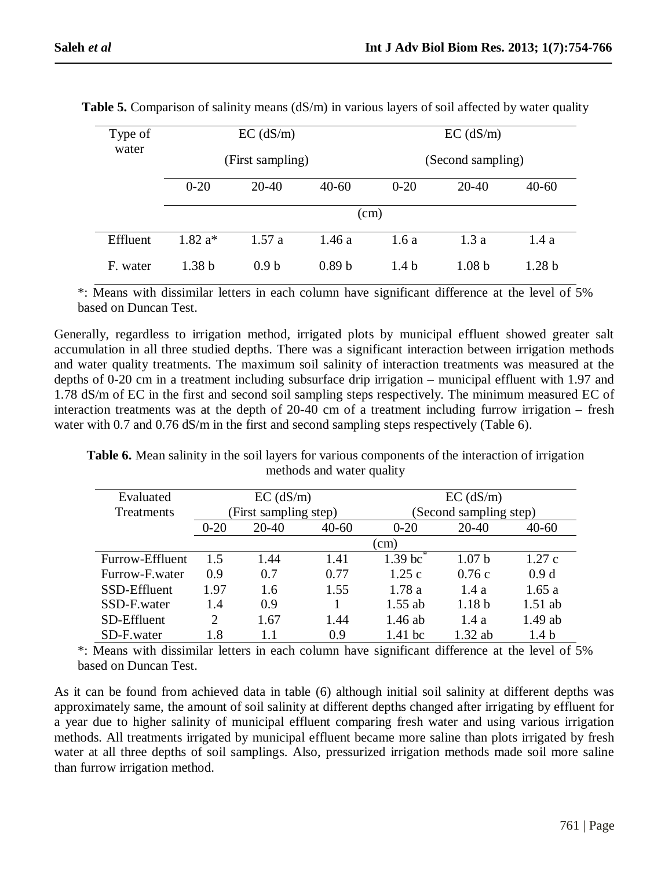| Type of  |                   | $EC$ (dS/m)      |                   | $EC$ (dS/m)<br>(Second sampling) |                   |                   |  |  |
|----------|-------------------|------------------|-------------------|----------------------------------|-------------------|-------------------|--|--|
| water    |                   | (First sampling) |                   |                                  |                   |                   |  |  |
|          | $0 - 20$          | $20-40$          | $40 - 60$         | $0 - 20$                         | $20-40$           | $40 - 60$         |  |  |
|          |                   |                  | (cm)              |                                  |                   |                   |  |  |
| Effluent | $1.82 a*$         | 1.57a            | 1.46a             | 1.6a                             | 1.3a              | 1.4a              |  |  |
| F. water | 1.38 <sub>b</sub> | 0.9 <sub>b</sub> | 0.89 <sub>b</sub> | 1.4 <sub>b</sub>                 | 1.08 <sub>b</sub> | 1.28 <sub>b</sub> |  |  |

**Table 5.** Comparison of salinity means (dS/m) in various layers of soil affected by water quality

\*: Means with dissimilar letters in each column have significant difference at the level of 5% based on Duncan Test.

Generally, regardless to irrigation method, irrigated plots by municipal effluent showed greater salt accumulation in all three studied depths. There was a significant interaction between irrigation methods and water quality treatments. The maximum soil salinity of interaction treatments was measured at the depths of 0-20 cm in a treatment including subsurface drip irrigation – municipal effluent with 1.97 and 1.78 dS/m of EC in the first and second soil sampling steps respectively. The minimum measured EC of interaction treatments was at the depth of 20-40 cm of a treatment including furrow irrigation – fresh water with 0.7 and 0.76 dS/m in the first and second sampling steps respectively (Table 6).

**Table 6.** Mean salinity in the soil layers for various components of the interaction of irrigation methods and water quality

| Evaluated         |                     | $EC$ (dS/m)           |           | $EC$ (dS/m) |                        |                  |  |
|-------------------|---------------------|-----------------------|-----------|-------------|------------------------|------------------|--|
| <b>Treatments</b> |                     | (First sampling step) |           |             | (Second sampling step) |                  |  |
|                   | $20 - 40$<br>$0-20$ |                       | $40 - 60$ | $0 - 20$    | 20-40                  | $40 - 60$        |  |
|                   |                     |                       |           | $\rm (cm)$  |                        |                  |  |
| Furrow-Effluent   | 1.5                 | 1.44                  | 1.41      | $1.39$ bc   | 1.07 <sub>b</sub>      | 1.27c            |  |
| Furrow-F.water    | 0.9                 | 0.7                   | 0.77      | 1.25c       | 0.76c                  | 0.9d             |  |
| SSD-Effluent      | 1.97                | 1.6                   | 1.55      | 1.78a       | 1.4a                   | 1.65a            |  |
| SSD-F.water       | 1.4                 | 0.9                   |           | $1.55$ ab   | 1.18 <sub>b</sub>      | $1.51$ ab        |  |
| SD-Effluent       | $\overline{2}$      | 1.67                  | 1.44      | $1.46$ ab   | 1.4a                   | $1.49$ ab        |  |
| SD-F.water        | 1.8                 |                       | 0.9       | $1.41$ bc   | $1.32$ ab              | 1.4 <sub>b</sub> |  |

\*: Means with dissimilar letters in each column have significant difference at the level of 5% based on Duncan Test.

As it can be found from achieved data in table (6) although initial soil salinity at different depths was approximately same, the amount of soil salinity at different depths changed after irrigating by effluent for a year due to higher salinity of municipal effluent comparing fresh water and using various irrigation methods. All treatments irrigated by municipal effluent became more saline than plots irrigated by fresh water at all three depths of soil samplings. Also, pressurized irrigation methods made soil more saline than furrow irrigation method.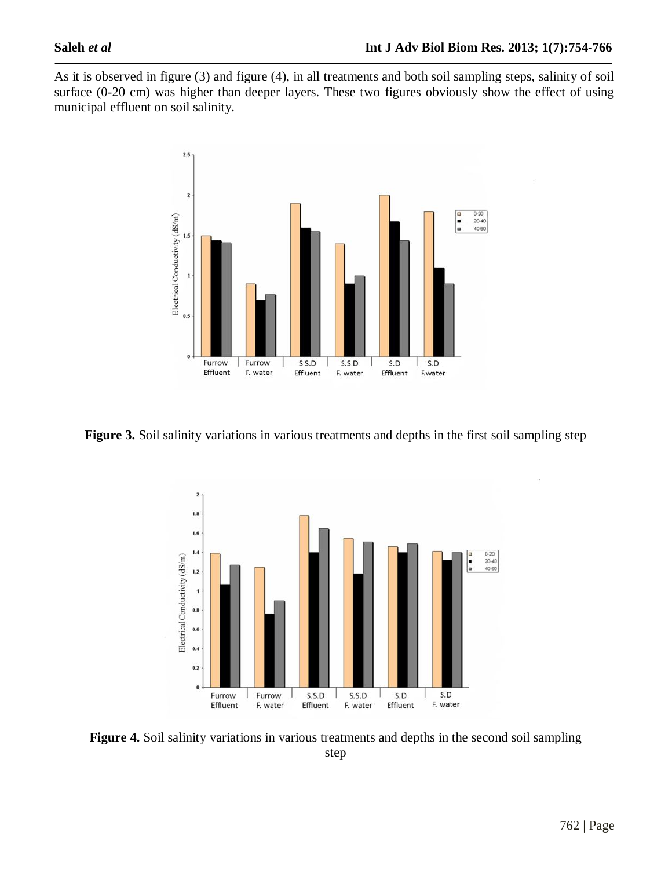As it is observed in figure (3) and figure (4), in all treatments and both soil sampling steps, salinity of soil surface (0-20 cm) was higher than deeper layers. These two figures obviously show the effect of using municipal effluent on soil salinity.



**Figure 3.** Soil salinity variations in various treatments and depths in the first soil sampling step



**Figure 4.** Soil salinity variations in various treatments and depths in the second soil sampling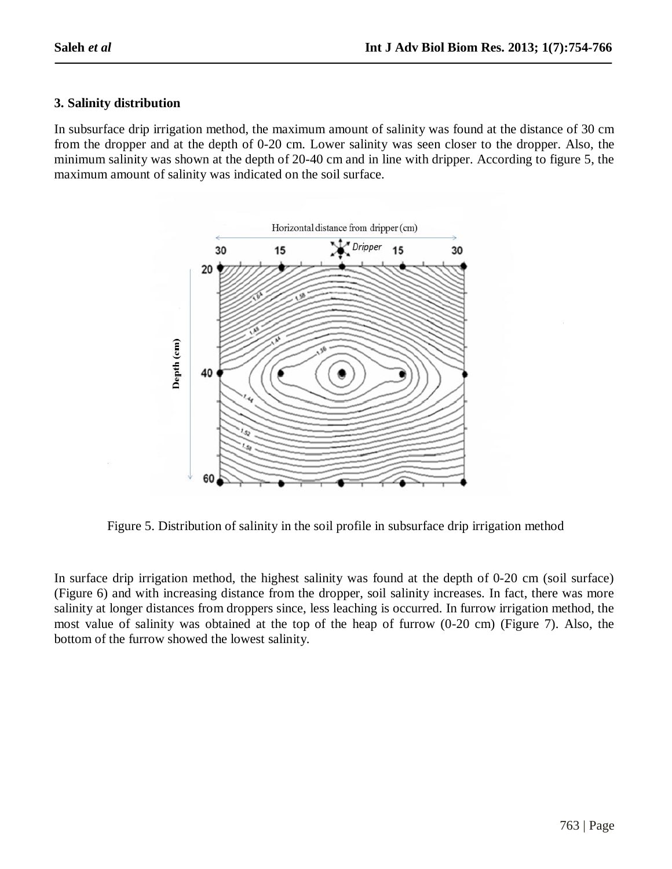### **3. Salinity distribution**

In subsurface drip irrigation method, the maximum amount of salinity was found at the distance of 30 cm from the dropper and at the depth of 0-20 cm. Lower salinity was seen closer to the dropper. Also, the minimum salinity was shown at the depth of 20-40 cm and in line with dripper. According to figure 5, the maximum amount of salinity was indicated on the soil surface.



Figure 5. Distribution of salinity in the soil profile in subsurface drip irrigation method

In surface drip irrigation method, the highest salinity was found at the depth of 0-20 cm (soil surface) (Figure 6) and with increasing distance from the dropper, soil salinity increases. In fact, there was more salinity at longer distances from droppers since, less leaching is occurred. In furrow irrigation method, the most value of salinity was obtained at the top of the heap of furrow (0-20 cm) (Figure 7). Also, the bottom of the furrow showed the lowest salinity.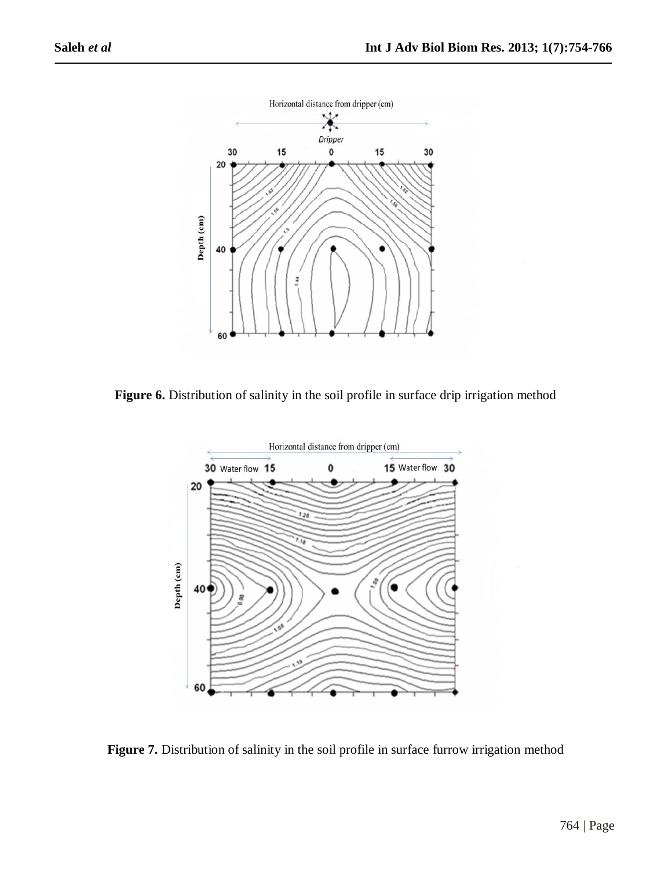

Figure 6. Distribution of salinity in the soil profile in surface drip irrigation method



Figure 7. Distribution of salinity in the soil profile in surface furrow irrigation method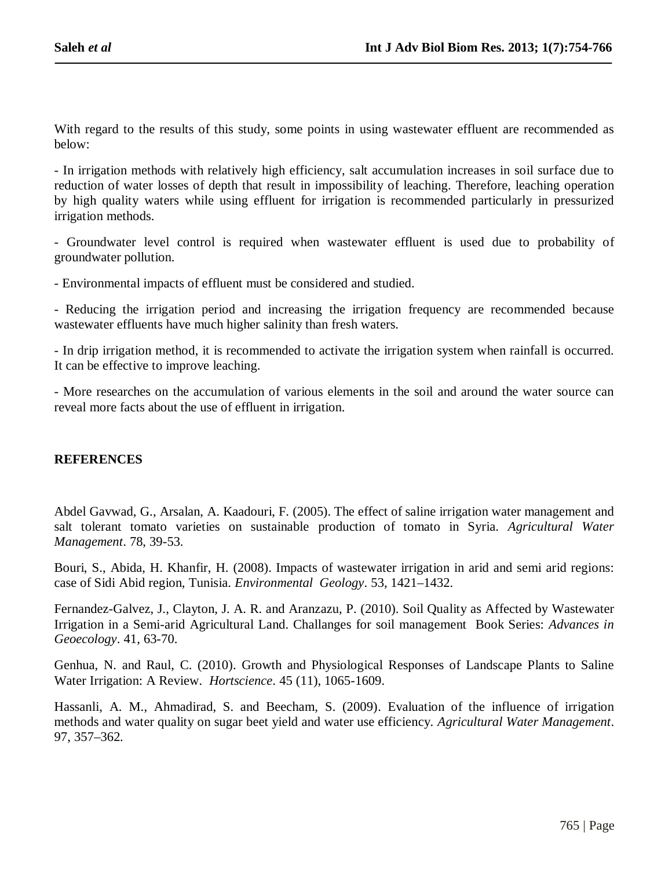With regard to the results of this study, some points in using wastewater effluent are recommended as below:

- In irrigation methods with relatively high efficiency, salt accumulation increases in soil surface due to reduction of water losses of depth that result in impossibility of leaching. Therefore, leaching operation by high quality waters while using effluent for irrigation is recommended particularly in pressurized irrigation methods.

- Groundwater level control is required when wastewater effluent is used due to probability of groundwater pollution.

- Environmental impacts of effluent must be considered and studied.

- Reducing the irrigation period and increasing the irrigation frequency are recommended because wastewater effluents have much higher salinity than fresh waters.

- In drip irrigation method, it is recommended to activate the irrigation system when rainfall is occurred. It can be effective to improve leaching.

- More researches on the accumulation of various elements in the soil and around the water source can reveal more facts about the use of effluent in irrigation.

#### **REFERENCES**

Abdel Gavwad, G., Arsalan, A. Kaadouri, F. (2005). The effect of saline irrigation water management and salt tolerant tomato varieties on sustainable production of tomato in Syria. *Agricultural Water Management*. 78, 39-53.

Bouri, S., Abida, H. Khanfir, H. (2008). Impacts of wastewater irrigation in arid and semi arid regions: case of Sidi Abid region, Tunisia. *Environmental Geology*. 53, 1421–1432.

Fernandez-Galvez, J., Clayton, J. A. R. and Aranzazu, P. (2010). Soil Quality as Affected by Wastewater Irrigation in a Semi-arid Agricultural Land. Challanges for soil management Book Series: *Advances in Geoecology*. 41, 63-70.

Genhua, N. and Raul, C. (2010). Growth and Physiological Responses of Landscape Plants to Saline Water Irrigation: A Review. *Hortscience*. 45 (11), 1065-1609.

Hassanli, A. M., Ahmadirad, S. and Beecham, S. (2009). Evaluation of the influence of irrigation methods and water quality on sugar beet yield and water use efficiency. *Agricultural Water Management*. 97, 357–362.